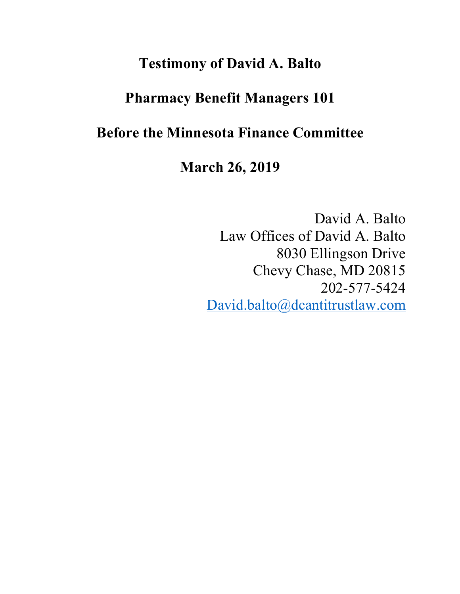# **Testimony of David A. Balto**

# **Pharmacy Benefit Managers 101**

# **Before the Minnesota Finance Committee**

# **March 26, 2019**

David A. Balto Law Offices of David A. Balto 8030 Ellingson Drive Chevy Chase, MD 20815 202-577-5424 David.balto@dcantitrustlaw.com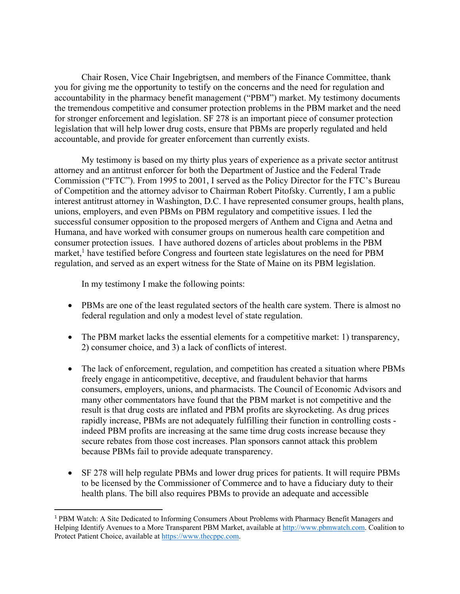Chair Rosen, Vice Chair Ingebrigtsen, and members of the Finance Committee, thank you for giving me the opportunity to testify on the concerns and the need for regulation and accountability in the pharmacy benefit management ("PBM") market. My testimony documents the tremendous competitive and consumer protection problems in the PBM market and the need for stronger enforcement and legislation. SF 278 is an important piece of consumer protection legislation that will help lower drug costs, ensure that PBMs are properly regulated and held accountable, and provide for greater enforcement than currently exists.

My testimony is based on my thirty plus years of experience as a private sector antitrust attorney and an antitrust enforcer for both the Department of Justice and the Federal Trade Commission ("FTC"). From 1995 to 2001, I served as the Policy Director for the FTC's Bureau of Competition and the attorney advisor to Chairman Robert Pitofsky. Currently, I am a public interest antitrust attorney in Washington, D.C. I have represented consumer groups, health plans, unions, employers, and even PBMs on PBM regulatory and competitive issues. I led the successful consumer opposition to the proposed mergers of Anthem and Cigna and Aetna and Humana, and have worked with consumer groups on numerous health care competition and consumer protection issues. I have authored dozens of articles about problems in the PBM market,<sup>1</sup> have testified before Congress and fourteen state legislatures on the need for PBM regulation, and served as an expert witness for the State of Maine on its PBM legislation.

In my testimony I make the following points:

- PBMs are one of the least regulated sectors of the health care system. There is almost no federal regulation and only a modest level of state regulation.
- The PBM market lacks the essential elements for a competitive market: 1) transparency, 2) consumer choice, and 3) a lack of conflicts of interest.
- The lack of enforcement, regulation, and competition has created a situation where PBMs freely engage in anticompetitive, deceptive, and fraudulent behavior that harms consumers, employers, unions, and pharmacists. The Council of Economic Advisors and many other commentators have found that the PBM market is not competitive and the result is that drug costs are inflated and PBM profits are skyrocketing. As drug prices rapidly increase, PBMs are not adequately fulfilling their function in controlling costs indeed PBM profits are increasing at the same time drug costs increase because they secure rebates from those cost increases. Plan sponsors cannot attack this problem because PBMs fail to provide adequate transparency.
- SF 278 will help regulate PBMs and lower drug prices for patients. It will require PBMs to be licensed by the Commissioner of Commerce and to have a fiduciary duty to their health plans. The bill also requires PBMs to provide an adequate and accessible

 <sup>1</sup> PBM Watch: A Site Dedicated to Informing Consumers About Problems with Pharmacy Benefit Managers and Helping Identify Avenues to a More Transparent PBM Market, available at http://www.pbmwatch.com. Coalition to Protect Patient Choice, available at https://www.thecppc.com.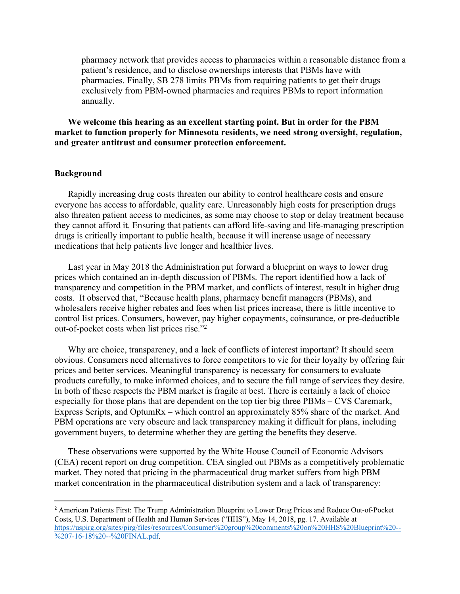pharmacy network that provides access to pharmacies within a reasonable distance from a patient's residence, and to disclose ownerships interests that PBMs have with pharmacies. Finally, SB 278 limits PBMs from requiring patients to get their drugs exclusively from PBM-owned pharmacies and requires PBMs to report information annually.

**We welcome this hearing as an excellent starting point. But in order for the PBM market to function properly for Minnesota residents, we need strong oversight, regulation, and greater antitrust and consumer protection enforcement.** 

### **Background**

Rapidly increasing drug costs threaten our ability to control healthcare costs and ensure everyone has access to affordable, quality care. Unreasonably high costs for prescription drugs also threaten patient access to medicines, as some may choose to stop or delay treatment because they cannot afford it. Ensuring that patients can afford life-saving and life-managing prescription drugs is critically important to public health, because it will increase usage of necessary medications that help patients live longer and healthier lives.

Last year in May 2018 the Administration put forward a blueprint on ways to lower drug prices which contained an in-depth discussion of PBMs. The report identified how a lack of transparency and competition in the PBM market, and conflicts of interest, result in higher drug costs. It observed that, "Because health plans, pharmacy benefit managers (PBMs), and wholesalers receive higher rebates and fees when list prices increase, there is little incentive to control list prices. Consumers, however, pay higher copayments, coinsurance, or pre-deductible out-of-pocket costs when list prices rise."2

Why are choice, transparency, and a lack of conflicts of interest important? It should seem obvious. Consumers need alternatives to force competitors to vie for their loyalty by offering fair prices and better services. Meaningful transparency is necessary for consumers to evaluate products carefully, to make informed choices, and to secure the full range of services they desire. In both of these respects the PBM market is fragile at best. There is certainly a lack of choice especially for those plans that are dependent on the top tier big three PBMs – CVS Caremark, Express Scripts, and OptumRx – which control an approximately 85% share of the market. And PBM operations are very obscure and lack transparency making it difficult for plans, including government buyers, to determine whether they are getting the benefits they deserve.

These observations were supported by the White House Council of Economic Advisors (CEA) recent report on drug competition. CEA singled out PBMs as a competitively problematic market. They noted that pricing in the pharmaceutical drug market suffers from high PBM market concentration in the pharmaceutical distribution system and a lack of transparency:

<sup>&</sup>lt;sup>2</sup> American Patients First: The Trump Administration Blueprint to Lower Drug Prices and Reduce Out-of-Pocket Costs, U.S. Department of Health and Human Services ("HHS"), May 14, 2018, pg. 17. Available at https://uspirg.org/sites/pirg/files/resources/Consumer%20group%20comments%20on%20HHS%20Blueprint%20-- %207-16-18%20--%20FINAL.pdf.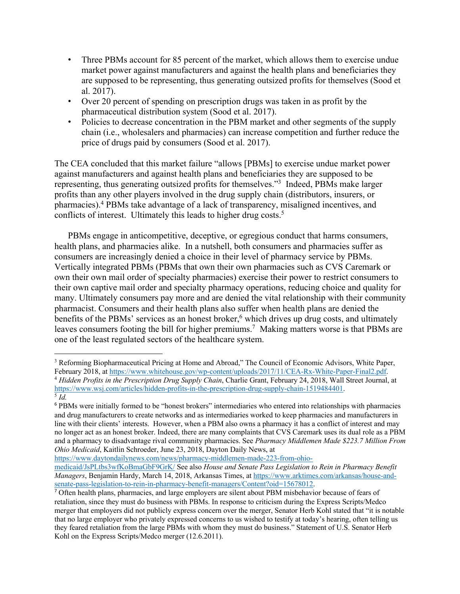- Three PBMs account for 85 percent of the market, which allows them to exercise undue market power against manufacturers and against the health plans and beneficiaries they are supposed to be representing, thus generating outsized profits for themselves (Sood et al. 2017).
- Over 20 percent of spending on prescription drugs was taken in as profit by the pharmaceutical distribution system (Sood et al. 2017).
- Policies to decrease concentration in the PBM market and other segments of the supply chain (i.e., wholesalers and pharmacies) can increase competition and further reduce the price of drugs paid by consumers (Sood et al. 2017).

The CEA concluded that this market failure "allows [PBMs] to exercise undue market power against manufacturers and against health plans and beneficiaries they are supposed to be representing, thus generating outsized profits for themselves."3 Indeed, PBMs make larger profits than any other players involved in the drug supply chain (distributors, insurers, or pharmacies).4 PBMs take advantage of a lack of transparency, misaligned incentives, and conflicts of interest. Ultimately this leads to higher drug costs.<sup>5</sup>

PBMs engage in anticompetitive, deceptive, or egregious conduct that harms consumers, health plans, and pharmacies alike. In a nutshell, both consumers and pharmacies suffer as consumers are increasingly denied a choice in their level of pharmacy service by PBMs. Vertically integrated PBMs (PBMs that own their own pharmacies such as CVS Caremark or own their own mail order of specialty pharmacies) exercise their power to restrict consumers to their own captive mail order and specialty pharmacy operations, reducing choice and quality for many. Ultimately consumers pay more and are denied the vital relationship with their community pharmacist. Consumers and their health plans also suffer when health plans are denied the benefits of the PBMs' services as an honest broker,<sup>6</sup> which drives up drug costs, and ultimately leaves consumers footing the bill for higher premiums.<sup>7</sup> Making matters worse is that PBMs are one of the least regulated sectors of the healthcare system.

https://www.daytondailynews.com/news/pharmacy-middlemen-made-223-from-ohio-

 $\overline{a}$ <sup>3</sup> Reforming Biopharmaceutical Pricing at Home and Abroad," The Council of Economic Advisors, White Paper, February 2018, at https://www.whitehouse.gov/wp-content/uploads/2017/11/CEA-Rx-White-Paper-Final2.pdf.

<sup>&</sup>lt;sup>4</sup> Hidden Profits in the Prescription Drug Supply Chain, Charlie Grant, February 24, 2018, Wall Street Journal, at https://www.wsj.com/articles/hidden-profits-in-the-prescription-drug-supply-chain-1519484401. 5 *Id.*

<sup>6</sup> PBMs were initially formed to be "honest brokers" intermediaries who entered into relationships with pharmacies and drug manufacturers to create networks and as intermediaries worked to keep pharmacies and manufacturers in line with their clients' interests. However, when a PBM also owns a pharmacy it has a conflict of interest and may no longer act as an honest broker. Indeed, there are many complaints that CVS Caremark uses its dual role as a PBM and a pharmacy to disadvantage rival community pharmacies. See *Pharmacy Middlemen Made \$223.7 Million From Ohio Medicaid*, Kaitlin Schroeder, June 23, 2018, Dayton Daily News, at

medicaid/JsPLtbs3wfKoBmaGbF9GrK/ See also *House and Senate Pass Legislation to Rein in Pharmacy Benefit Managers*, Benjamin Hardy, March 14, 2018, Arkansas Times, at https://www.arktimes.com/arkansas/house-andsenate-pass-legislation-to-rein-in-pharmacy-benefit-managers/Content?oid=15678012.

<sup>7</sup> Often health plans, pharmacies, and large employers are silent about PBM misbehavior because of fears of retaliation, since they must do business with PBMs. In response to criticism during the Express Scripts/Medco merger that employers did not publicly express concern over the merger, Senator Herb Kohl stated that "it is notable that no large employer who privately expressed concerns to us wished to testify at today's hearing, often telling us they feared retaliation from the large PBMs with whom they must do business." Statement of U.S. Senator Herb Kohl on the Express Scripts/Medco merger (12.6.2011).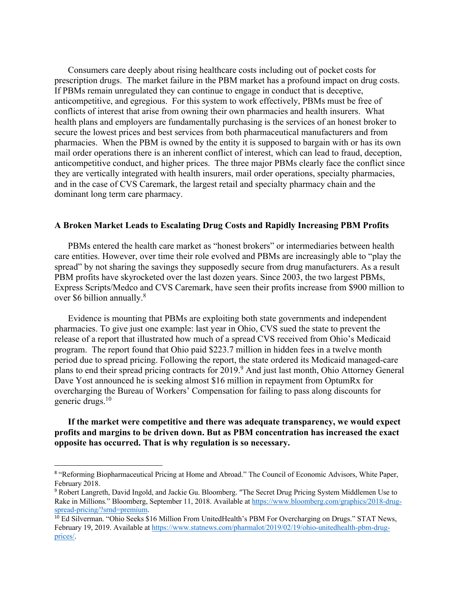Consumers care deeply about rising healthcare costs including out of pocket costs for prescription drugs. The market failure in the PBM market has a profound impact on drug costs. If PBMs remain unregulated they can continue to engage in conduct that is deceptive, anticompetitive, and egregious. For this system to work effectively, PBMs must be free of conflicts of interest that arise from owning their own pharmacies and health insurers. What health plans and employers are fundamentally purchasing is the services of an honest broker to secure the lowest prices and best services from both pharmaceutical manufacturers and from pharmacies. When the PBM is owned by the entity it is supposed to bargain with or has its own mail order operations there is an inherent conflict of interest, which can lead to fraud, deception, anticompetitive conduct, and higher prices. The three major PBMs clearly face the conflict since they are vertically integrated with health insurers, mail order operations, specialty pharmacies, and in the case of CVS Caremark, the largest retail and specialty pharmacy chain and the dominant long term care pharmacy.

#### **A Broken Market Leads to Escalating Drug Costs and Rapidly Increasing PBM Profits**

PBMs entered the health care market as "honest brokers" or intermediaries between health care entities. However, over time their role evolved and PBMs are increasingly able to "play the spread" by not sharing the savings they supposedly secure from drug manufacturers. As a result PBM profits have skyrocketed over the last dozen years. Since 2003, the two largest PBMs, Express Scripts/Medco and CVS Caremark, have seen their profits increase from \$900 million to over \$6 billion annually.<sup>8</sup>

Evidence is mounting that PBMs are exploiting both state governments and independent pharmacies. To give just one example: last year in Ohio, CVS sued the state to prevent the release of a report that illustrated how much of a spread CVS received from Ohio's Medicaid program. The report found that Ohio paid \$223.7 million in hidden fees in a twelve month period due to spread pricing. Following the report, the state ordered its Medicaid managed-care plans to end their spread pricing contracts for 2019.9 And just last month, Ohio Attorney General Dave Yost announced he is seeking almost \$16 million in repayment from OptumRx for overcharging the Bureau of Workers' Compensation for failing to pass along discounts for generic drugs.10

**If the market were competitive and there was adequate transparency, we would expect profits and margins to be driven down. But as PBM concentration has increased the exact opposite has occurred. That is why regulation is so necessary.** 

<sup>&</sup>lt;sup>8</sup> "Reforming Biopharmaceutical Pricing at Home and Abroad." The Council of Economic Advisors, White Paper, February 2018.

<sup>9</sup> Robert Langreth, David Ingold, and Jackie Gu. Bloomberg. "The Secret Drug Pricing System Middlemen Use to Rake in Millions*.*" Bloomberg, September 11, 2018. Available at https://www.bloomberg.com/graphics/2018-drugspread-pricing/?srnd=premium.

<sup>&</sup>lt;sup>10</sup> Ed Silverman. "Ohio Seeks \$16 Million From UnitedHealth's PBM For Overcharging on Drugs." STAT News, February 19, 2019. Available at https://www.statnews.com/pharmalot/2019/02/19/ohio-unitedhealth-pbm-drugprices/.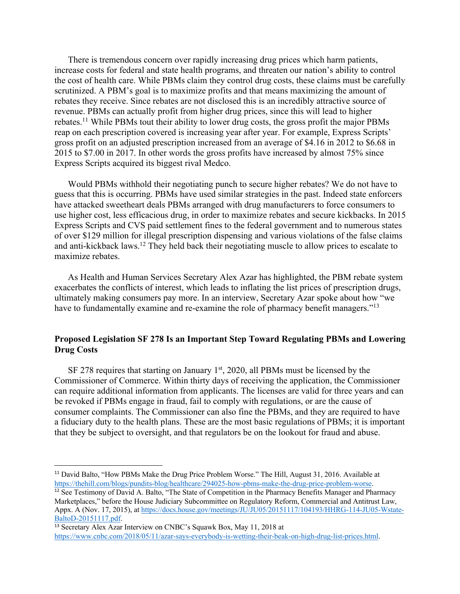There is tremendous concern over rapidly increasing drug prices which harm patients, increase costs for federal and state health programs, and threaten our nation's ability to control the cost of health care. While PBMs claim they control drug costs, these claims must be carefully scrutinized. A PBM's goal is to maximize profits and that means maximizing the amount of rebates they receive. Since rebates are not disclosed this is an incredibly attractive source of revenue. PBMs can actually profit from higher drug prices, since this will lead to higher rebates.11 While PBMs tout their ability to lower drug costs, the gross profit the major PBMs reap on each prescription covered is increasing year after year. For example, Express Scripts' gross profit on an adjusted prescription increased from an average of \$4.16 in 2012 to \$6.68 in 2015 to \$7.00 in 2017. In other words the gross profits have increased by almost 75% since Express Scripts acquired its biggest rival Medco.

Would PBMs withhold their negotiating punch to secure higher rebates? We do not have to guess that this is occurring. PBMs have used similar strategies in the past. Indeed state enforcers have attacked sweetheart deals PBMs arranged with drug manufacturers to force consumers to use higher cost, less efficacious drug, in order to maximize rebates and secure kickbacks. In 2015 Express Scripts and CVS paid settlement fines to the federal government and to numerous states of over \$129 million for illegal prescription dispensing and various violations of the false claims and anti-kickback laws.12 They held back their negotiating muscle to allow prices to escalate to maximize rebates.

As Health and Human Services Secretary Alex Azar has highlighted, the PBM rebate system exacerbates the conflicts of interest, which leads to inflating the list prices of prescription drugs, ultimately making consumers pay more. In an interview, Secretary Azar spoke about how "we have to fundamentally examine and re-examine the role of pharmacy benefit managers."<sup>13</sup>

### **Proposed Legislation SF 278 Is an Important Step Toward Regulating PBMs and Lowering Drug Costs**

SF 278 requires that starting on January  $1<sup>st</sup>$ , 2020, all PBMs must be licensed by the Commissioner of Commerce. Within thirty days of receiving the application, the Commissioner can require additional information from applicants. The licenses are valid for three years and can be revoked if PBMs engage in fraud, fail to comply with regulations, or are the cause of consumer complaints. The Commissioner can also fine the PBMs, and they are required to have a fiduciary duty to the health plans. These are the most basic regulations of PBMs; it is important that they be subject to oversight, and that regulators be on the lookout for fraud and abuse.

<sup>&</sup>lt;sup>11</sup> David Balto, "How PBMs Make the Drug Price Problem Worse." The Hill, August 31, 2016. Available at https://thehill.com/blogs/pundits-blog/healthcare/294025-how-pbms-make-the-drug-price-problem-worse.

<sup>&</sup>lt;sup>12</sup> See Testimony of David A. Balto, "The State of Competition in the Pharmacy Benefits Manager and Pharmacy Marketplaces," before the House Judiciary Subcommittee on Regulatory Reform, Commercial and Antitrust Law, Appx. A (Nov. 17, 2015), at https://docs.house.gov/meetings/JU/JU05/20151117/104193/HHRG-114-JU05-Wstate-BaltoD-20151117.pdf.

<sup>13</sup> Secretary Alex Azar Interview on CNBC's Squawk Box, May 11, 2018 at https://www.cnbc.com/2018/05/11/azar-says-everybody-is-wetting-their-beak-on-high-drug-list-prices.html.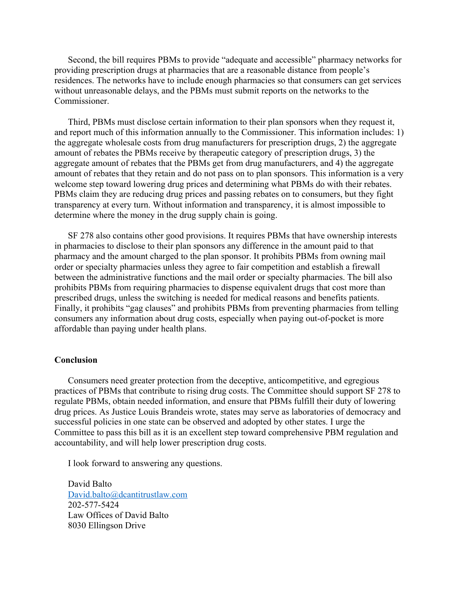Second, the bill requires PBMs to provide "adequate and accessible" pharmacy networks for providing prescription drugs at pharmacies that are a reasonable distance from people's residences. The networks have to include enough pharmacies so that consumers can get services without unreasonable delays, and the PBMs must submit reports on the networks to the Commissioner.

Third, PBMs must disclose certain information to their plan sponsors when they request it, and report much of this information annually to the Commissioner. This information includes: 1) the aggregate wholesale costs from drug manufacturers for prescription drugs, 2) the aggregate amount of rebates the PBMs receive by therapeutic category of prescription drugs, 3) the aggregate amount of rebates that the PBMs get from drug manufacturers, and 4) the aggregate amount of rebates that they retain and do not pass on to plan sponsors. This information is a very welcome step toward lowering drug prices and determining what PBMs do with their rebates. PBMs claim they are reducing drug prices and passing rebates on to consumers, but they fight transparency at every turn. Without information and transparency, it is almost impossible to determine where the money in the drug supply chain is going.

SF 278 also contains other good provisions. It requires PBMs that have ownership interests in pharmacies to disclose to their plan sponsors any difference in the amount paid to that pharmacy and the amount charged to the plan sponsor. It prohibits PBMs from owning mail order or specialty pharmacies unless they agree to fair competition and establish a firewall between the administrative functions and the mail order or specialty pharmacies. The bill also prohibits PBMs from requiring pharmacies to dispense equivalent drugs that cost more than prescribed drugs, unless the switching is needed for medical reasons and benefits patients. Finally, it prohibits "gag clauses" and prohibits PBMs from preventing pharmacies from telling consumers any information about drug costs, especially when paying out-of-pocket is more affordable than paying under health plans.

#### **Conclusion**

Consumers need greater protection from the deceptive, anticompetitive, and egregious practices of PBMs that contribute to rising drug costs. The Committee should support SF 278 to regulate PBMs, obtain needed information, and ensure that PBMs fulfill their duty of lowering drug prices. As Justice Louis Brandeis wrote, states may serve as laboratories of democracy and successful policies in one state can be observed and adopted by other states. I urge the Committee to pass this bill as it is an excellent step toward comprehensive PBM regulation and accountability, and will help lower prescription drug costs.

I look forward to answering any questions.

David Balto David.balto@dcantitrustlaw.com 202-577-5424 Law Offices of David Balto 8030 Ellingson Drive